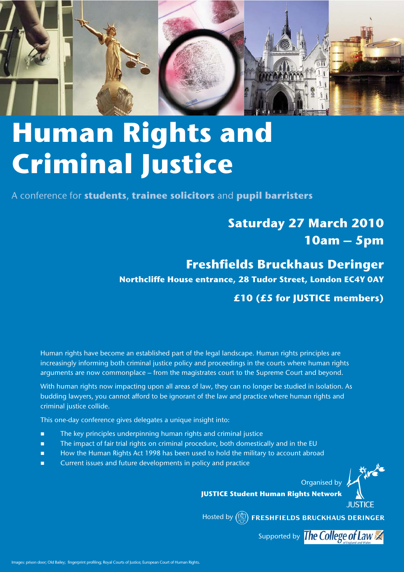

# **Human Rights and Criminal Justice**

A conference for **students**, **trainee solicitors** and **pupil barristers** 

# **Saturday 27 March 2010 10am – 5pm**

**Freshfields Bruckhaus Deringer Northcliffe House entrance, 28 Tudor Street, London EC4Y 0AY**

**£10 (£5 for JUSTICE members)**

Human rights have become an established part of the legal landscape. Human rights principles are increasingly informing both criminal justice policy and proceedings in the courts where human rights arguments are now commonplace – from the magistrates court to the Supreme Court and beyond.

With human rights now impacting upon all areas of law, they can no longer be studied in isolation. As budding lawyers, you cannot afford to be ignorant of the law and practice where human rights and criminal justice collide.

This one-day conference gives delegates a unique insight into:

- The key principles underpinning human rights and criminal justice
- The impact of fair trial rights on criminal procedure, both domestically and in the EU
- How the Human Rights Act 1998 has been used to hold the military to account abroad
- Current issues and future developments in policy and practice

**JUSTICE Student Human Rights Network**

Hosted by (W) FRESHFIELDS BRUCKHAUS DERINGER

Supported by The College of Law

Organised by **b** 

**JUSTICE**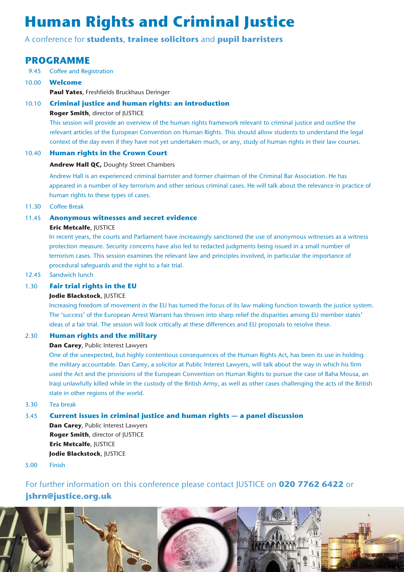# **Human Rights and Criminal Justice**

# A conference for **students**, **trainee solicitors** and **pupil barristers**

# **PROGRAMME**

- 9.45 Coffee and Registration
- 10.00 **Welcome Paul Yates**, Freshfields Bruckhaus Deringer
- 10.10 **Criminal justice and human rights: an introduction Roger Smith**, director of JUSTICE

This session will provide an overview of the human rights framework relevant to criminal justice and outline the relevant articles of the European Convention on Human Rights. This should allow students to understand the legal context of the day even if they have not yet undertaken much, or any, study of human rights in their law courses.

## 10.40 **Human rights in the Crown Court**

## **Andrew Hall QC,** Doughty Street Chambers

Andrew Hall is an experienced criminal barrister and former chairman of the Criminal Bar Association. He has appeared in a number of key terrorism and other serious criminal cases. He will talk about the relevance in practice of human rights to these types of cases.

11.30 Coffee Break

## 11.45 **Anonymous witnesses and secret evidence**

## **Eric Metcalfe**, JUSTICE

In recent years, the courts and Parliament have increasingly sanctioned the use of anonymous witnesses as a witness protection measure. Security concerns have also led to redacted judgments being issued in a small number of terrorism cases. This session examines the relevant law and principles involved, in particular the importance of procedural safeguards and the right to a fair trial.

12.45 Sandwich lunch

# 1.30 **Fair trial rights in the EU**

## **Jodie Blackstock**, JUSTICE

Increasing freedom of movement in the EU has turned the focus of its law making function towards the justice system. The 'success' of the European Arrest Warrant has thrown into sharp relief the disparities among EU member states' ideas of a fair trial. The session will look critically at these differences and EU proposals to resolve these.

## 2.30 **Human rights and the military**

**Dan Carey**, Public Interest Lawyers

One of the unexpected, but highly contentious consequences of the Human Rights Act, has been its use in holding the military accountable. Dan Carey, a solicitor at Public Interest Lawyers, will talk about the way in which his firm used the Act and the provisions of the European Convention on Human Rights to pursue the case of Baha Mousa, an Iraqi unlawfully killed while in the custody of the British Army, as well as other cases challenging the acts of the British state in other regions of the world.

3.30 Tea break

# 3.45 **Current issues in criminal justice and human rights — a panel discussion**

**Dan Carey**, Public Interest Lawyers **Roger Smith**, director of JUSTICE **Eric Metcalfe**, JUSTICE **Jodie Blackstock**, JUSTICE

5.00 Finish

# For further information on this conference please contact JUSTICE on **020 7762 6422** or **jshrn@justice.org.uk**